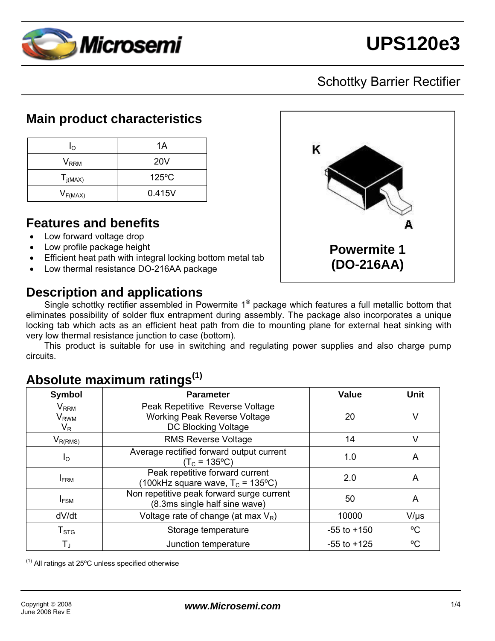

# Schottky Barrier Rectifier

### **Main product characteristics**

| Ιo           | 1A              |  |  |
|--------------|-----------------|--|--|
| $V_{RRM}$    | <b>20V</b>      |  |  |
| $T_{j(MAX)}$ | $125^{\circ}$ C |  |  |
| $V_{F(MAX)}$ | 0.415V          |  |  |

### **Features and benefits**

- Low forward voltage drop
- Low profile package height
- Efficient heat path with integral locking bottom metal tab
- Low thermal resistance DO-216AA package

# **Description and applications**



Single schottky rectifier assembled in Powermite 1® package which features a full metallic bottom that eliminates possibility of solder flux entrapment during assembly. The package also incorporates a unique locking tab which acts as an efficient heat path from die to mounting plane for external heat sinking with very low thermal resistance junction to case (bottom).

 This product is suitable for use in switching and regulating power supplies and also charge pump circuits.

# **Absolute maximum ratings(1)**

| Symbol                                             | <b>Parameter</b>                                                                              | <b>Value</b>    | <b>Unit</b> |
|----------------------------------------------------|-----------------------------------------------------------------------------------------------|-----------------|-------------|
| $V_{\rm{RRM}}$<br><b>V</b> <sub>RWM</sub><br>$V_R$ | Peak Repetitive Reverse Voltage<br><b>Working Peak Reverse Voltage</b><br>DC Blocking Voltage | 20              | ٧           |
| $V_{R(RMS)}$                                       | <b>RMS Reverse Voltage</b>                                                                    | 14              | $\vee$      |
| $I_{\rm O}$                                        | Average rectified forward output current<br>$(T_c = 135^{\circ}C)$                            | 1.0             | A           |
| <b>IFRM</b>                                        | Peak repetitive forward current<br>(100kHz square wave, $T_c$ = 135°C)                        | 2.0             | A           |
| $I_{FSM}$                                          | Non repetitive peak forward surge current<br>(8.3ms single half sine wave)                    | 50              | A           |
| dV/dt                                              | Voltage rate of change (at max $V_R$ )                                                        | 10000           | $V/\mu s$   |
| $T_{\mathtt{STG}}$                                 | Storage temperature                                                                           | $-55$ to $+150$ | °C          |
| $T_{\rm J}$                                        | Junction temperature                                                                          |                 | °C          |

 $<sup>(1)</sup>$  All ratings at 25 $<sup>o</sup>C$  unless specified otherwise</sup></sup>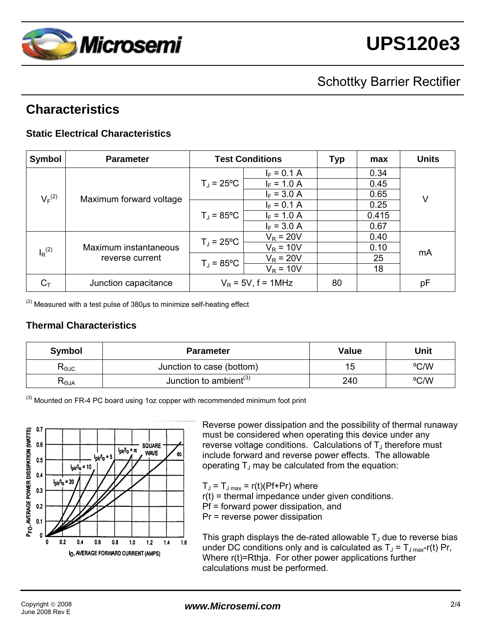

# Schottky Barrier Rectifier

# **Characteristics**

### **Static Electrical Characteristics**

| Symbol               | <b>Parameter</b>                         | <b>Test Conditions</b> |               | <b>Typ</b> | max   | <b>Units</b> |
|----------------------|------------------------------------------|------------------------|---------------|------------|-------|--------------|
|                      |                                          |                        | $I_F = 0.1 A$ |            | 0.34  |              |
| $V_F^{(2)}$          | Maximum forward voltage                  | $T_J = 25^{\circ}C$    | $I_F = 1.0 A$ |            | 0.45  | V            |
|                      |                                          |                        | $I_F = 3.0 A$ |            | 0.65  |              |
|                      |                                          | $T_J = 85^{\circ}C$    | $I_F = 0.1 A$ |            | 0.25  |              |
|                      |                                          |                        | $I_F = 1.0 A$ |            | 0.415 |              |
|                      |                                          |                        | $I_F = 3.0 A$ |            | 0.67  |              |
| $I_R$ <sup>(2)</sup> | Maximum instantaneous<br>reverse current | $T_J = 25^{\circ}C$    | $V_R = 20V$   |            | 0.40  | mA           |
|                      |                                          |                        | $V_R = 10V$   |            | 0.10  |              |
|                      |                                          | $T_J = 85^{\circ}C$    | $V_R = 20V$   |            | 25    |              |
|                      |                                          |                        | $V_R = 10V$   |            | 18    |              |
| $C_T$                | Junction capacitance                     | $V_R$ = 5V, f = 1MHz   |               | 80         |       | pF           |

 $<sup>(2)</sup>$  Measured with a test pulse of 380 $\mu$ s to minimize self-heating effect</sup>

### **Thermal Characteristics**

| Symbol                           | <b>Parameter</b>                   | Value | Unit |
|----------------------------------|------------------------------------|-------|------|
| $R_{\rm \scriptscriptstyle OJC}$ | Junction to case (bottom)          | 15    | °C/W |
| K⊝JA                             | Junction to ambient <sup>(3)</sup> | 240   | °C/W |

<sup>(3)</sup> Mounted on FR-4 PC board using 1oz copper with recommended minimum foot print



Reverse power dissipation and the possibility of thermal runaway must be considered when operating this device under any reverse voltage conditions. Calculations of  $T_J$  therefore must include forward and reverse power effects. The allowable operating  $T_J$  may be calculated from the equation:

 $T_J = T_{J \text{ max}} = r(t) (Pf+Pr)$  where

r(t) = thermal impedance under given conditions.

Pf = forward power dissipation, and

Pr = reverse power dissipation

This graph displays the de-rated allowable  $T_J$  due to reverse bias under DC conditions only and is calculated as  $T_J = T_{J\text{ max}} - r(t)$  Pr, Where r(t)=Rthja. For other power applications further calculations must be performed.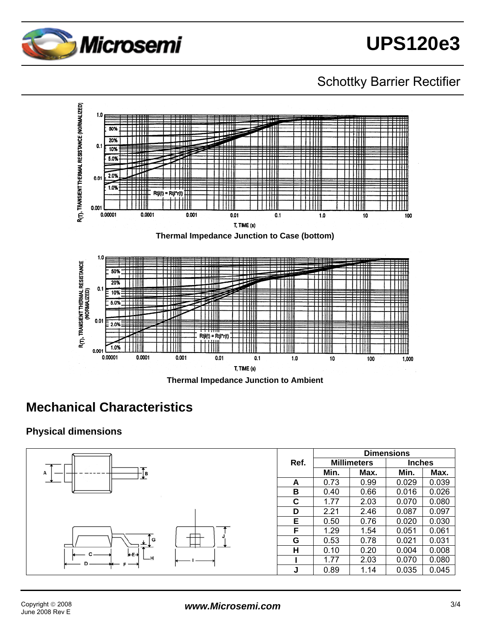

# Schottky Barrier Rectifier



**Thermal Impedance Junction to Ambient** 

# **Mechanical Characteristics**

#### **Physical dimensions**